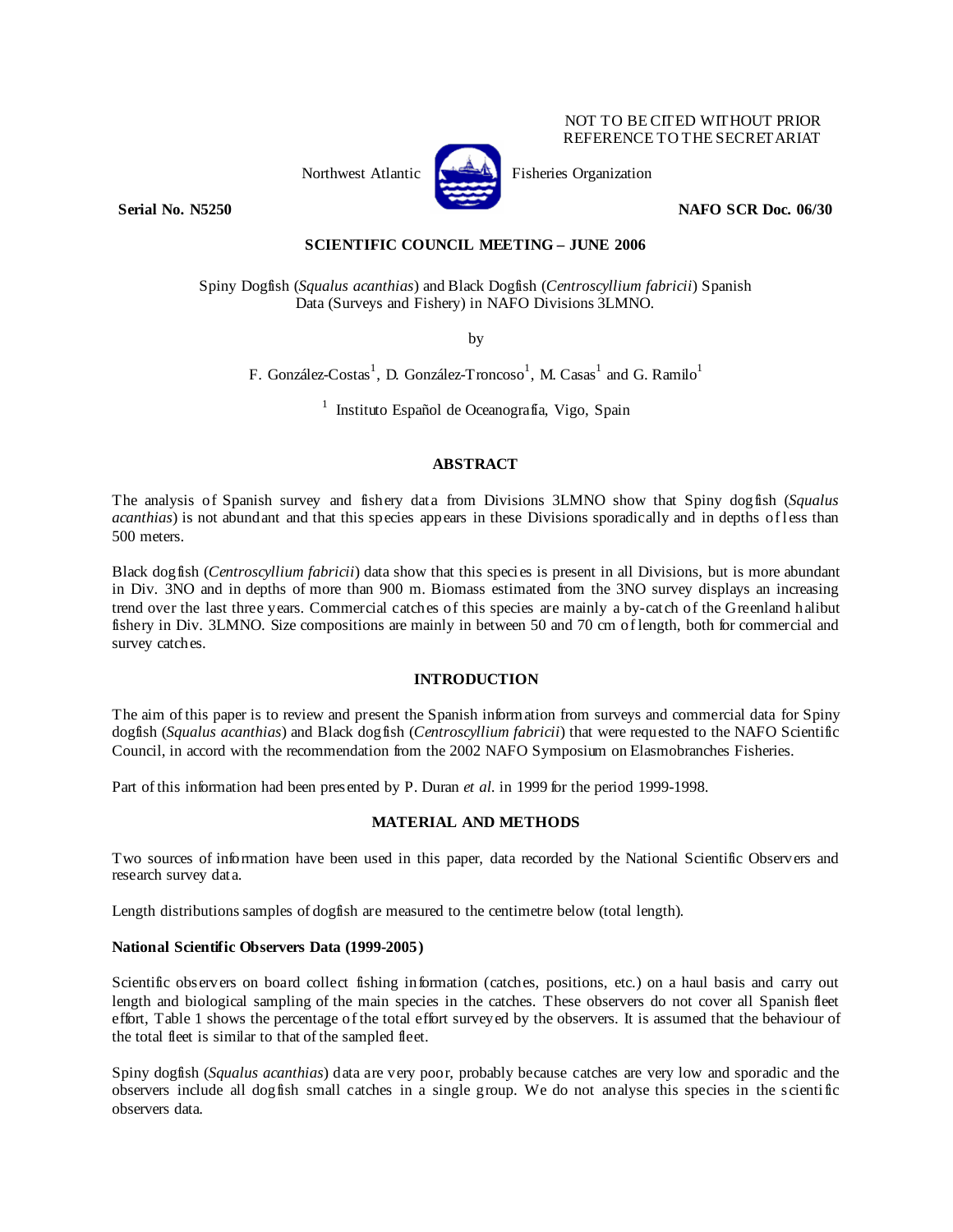#### NOT TO BE CITED WITHOUT PRIOR REFERENCE TO THE SECRETARIAT



Northwest Atlantic Fisheries Organization

**Serial No. N5250 NAFO SCR Doc. 06/30 NAFO SCR Doc. 06/30** 

# **SCIENTIFIC COUNCIL MEETING – JUNE 2006**

Spiny Dogfish (*Squalus acanthias*) and Black Dogfish (*Centroscyllium fabricii*) Spanish Data (Surveys and Fishery) in NAFO Divisions 3LMNO.

by

F. González-Costas<sup>1</sup>, D. González-Troncoso<sup>1</sup>, M. Casas<sup>1</sup> and G. Ramilo<sup>1</sup>

 $<sup>1</sup>$  Instituto Español de Oceanografía, Vigo, Spain</sup>

# **ABSTRACT**

The analysis of Spanish survey and fishery data from Divisions 3LMNO show that Spiny dogfish (*Squalus acanthias*) is not abundant and that this species appears in these Divisions sporadically and in depths of less than 500 meters.

Black dogfish (*Centroscyllium fabricii*) data show that this species is present in all Divisions, but is more abundant in Div. 3NO and in depths of more than 900 m. Biomass estimated from the 3NO survey displays an increasing trend over the last three years. Commercial catches of this species are mainly a by-catch of the Greenland halibut fishery in Div. 3LMNO. Size compositions are mainly in between 50 and 70 cm of length, both for commercial and survey catches.

### **INTRODUCTION**

The aim of this paper is to review and present the Spanish information from surveys and commercial data for Spiny dogfish (*Squalus acanthias*) and Black dogfish (*Centroscyllium fabricii*) that were requested to the NAFO Scientific Council, in accord with the recommendation from the 2002 NAFO Symposium on Elasmobranches Fisheries.

Part of this information had been presented by P. Duran *et al.* in 1999 for the period 1999-1998.

# **MATERIAL AND METHODS**

Two sources of information have been used in this paper, data recorded by the National Scientific Observers and research survey data.

Length distributions samples of dogfish are measured to the centimetre below (total length).

### **National Scientific Observers Data (1999-2005)**

Scientific observers on board collect fishing information (catches, positions, etc.) on a haul basis and carry out length and biological sampling of the main species in the catches. These observers do not cover all Spanish fleet effort, Table 1 shows the percentage of the total effort surveyed by the observers. It is assumed that the behaviour of the total fleet is similar to that of the sampled fleet.

Spiny dogfish (*Squalus acanthias*) data are very poor, probably because catches are very low and sporadic and the observers include all dogfish small catches in a single group. We do not analyse this species in the scientific observers data.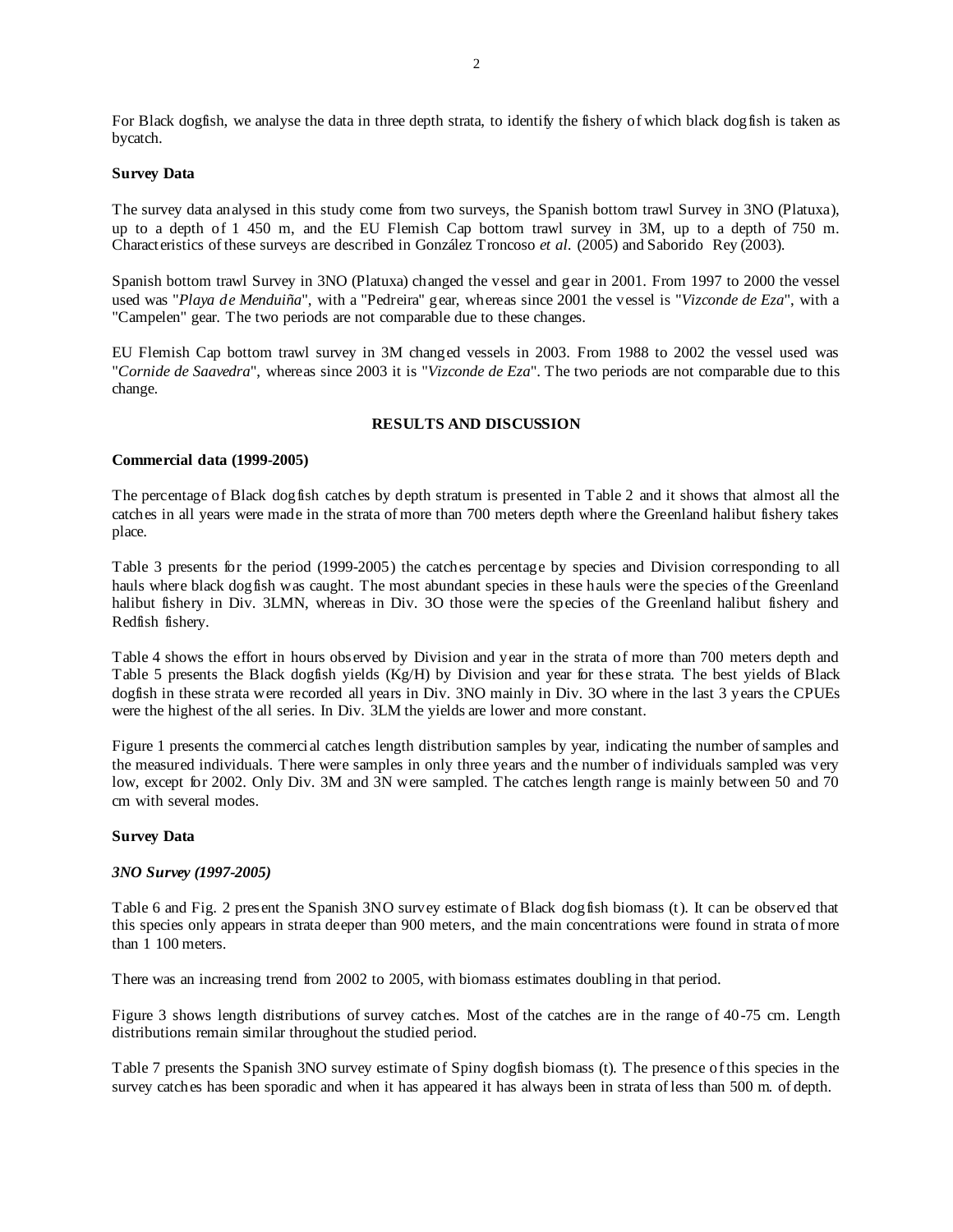For Black dogfish, we analyse the data in three depth strata, to identify the fishery of which black dogfish is taken as bycatch.

#### **Survey Data**

The survey data analysed in this study come from two surveys, the Spanish bottom trawl Survey in 3NO (Platuxa), up to a depth of 1 450 m, and the EU Flemish Cap bottom trawl survey in 3M, up to a depth of 750 m. Characteristics of these surveys are described in González Troncoso *et al.* (2005) and Saborido Rey (2003).

Spanish bottom trawl Survey in 3NO (Platuxa) changed the vessel and gear in 2001. From 1997 to 2000 the vessel used was "*Playa de Menduiña*", with a "Pedreira" gear, whereas since 2001 the vessel is "*Vizconde de Eza*", with a "Campelen" gear. The two periods are not comparable due to these changes.

EU Flemish Cap bottom trawl survey in 3M changed vessels in 2003. From 1988 to 2002 the vessel used was "*Cornide de Saavedra*", whereas since 2003 it is "*Vizconde de Eza*". The two periods are not comparable due to this change.

### **RESULTS AND DISCUSSION**

### **Commercial data (1999-2005)**

The percentage of Black dogfish catches by depth stratum is presented in Table 2 and it shows that almost all the catches in all years were made in the strata of more than 700 meters depth where the Greenland halibut fishery takes place.

Table 3 presents for the period (1999-2005) the catches percentage by species and Division corresponding to all hauls where black dogfish was caught. The most abundant species in these hauls were the species of the Greenland halibut fishery in Div. 3LMN, whereas in Div. 3O those were the species of the Greenland halibut fishery and Redfish fishery.

Table 4 shows the effort in hours observed by Division and year in the strata of more than 700 meters depth and Table 5 presents the Black dogfish yields (Kg/H) by Division and year for these strata. The best yields of Black dogfish in these strata were recorded all years in Div. 3NO mainly in Div. 3O where in the last 3 years the CPUEs were the highest of the all series. In Div. 3LM the yields are lower and more constant.

Figure 1 presents the commercial catches length distribution samples by year, indicating the number of samples and the measured individuals. There were samples in only three years and the number of individuals sampled was very low, except for 2002. Only Div. 3M and 3N were sampled. The catches length range is mainly between 50 and 70 cm with several modes.

### **Survey Data**

### *3NO Survey (1997-2005)*

Table 6 and Fig. 2 present the Spanish 3NO survey estimate of Black dogfish biomass (t). It can be observed that this species only appears in strata deeper than 900 meters, and the main concentrations were found in strata of more than 1 100 meters.

There was an increasing trend from 2002 to 2005, with biomass estimates doubling in that period.

Figure 3 shows length distributions of survey catches. Most of the catches are in the range of 40-75 cm. Length distributions remain similar throughout the studied period.

Table 7 presents the Spanish 3NO survey estimate of Spiny dogfish biomass (t). The presence of this species in the survey catches has been sporadic and when it has appeared it has always been in strata of less than 500 m. of depth.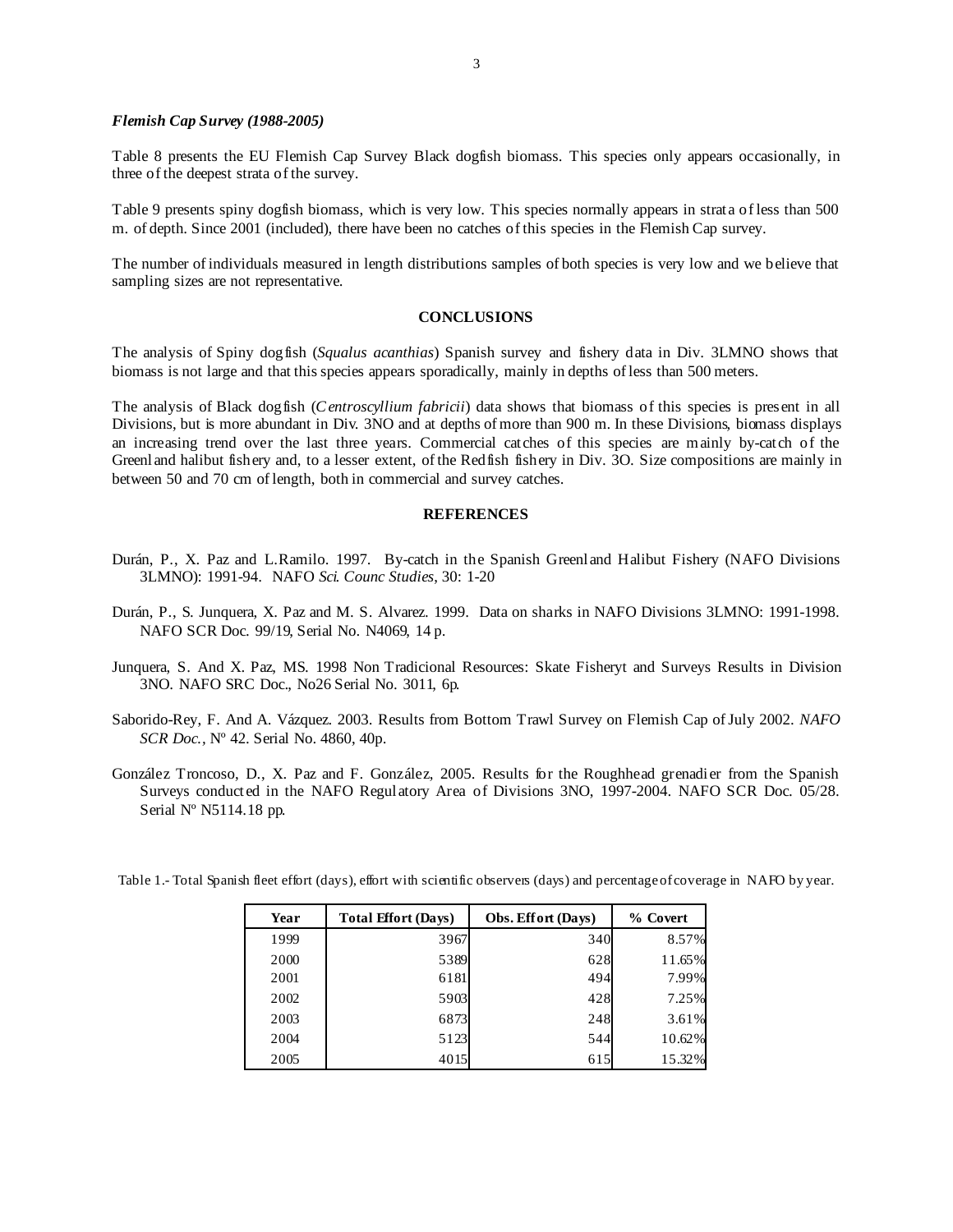#### *Flemish Cap Survey (1988-2005)*

Table 8 presents the EU Flemish Cap Survey Black dogfish biomass. This species only appears occasionally, in three of the deepest strata of the survey.

Table 9 presents spiny dogfish biomass, which is very low. This species normally appears in strata of less than 500 m. of depth. Since 2001 (included), there have been no catches of this species in the Flemish Cap survey.

The number of individuals measured in length distributions samples of both species is very low and we believe that sampling sizes are not representative.

# **CONCLUSIONS**

The analysis of Spiny dogfish (*Squalus acanthias*) Spanish survey and fishery data in Div. 3LMNO shows that biomass is not large and that this species appears sporadically, mainly in depths of less than 500 meters.

The analysis of Black dogfish (*C entroscyllium fabricii*) data shows that biomass of this species is present in all Divisions, but is more abundant in Div. 3NO and at depths of more than 900 m. In these Divisions, biomass displays an increasing trend over the last three years. Commercial catches of this species are mainly by-catch of the Greenland halibut fishery and, to a lesser extent, of the Redfish fishery in Div. 3O. Size compositions are mainly in between 50 and 70 cm of length, both in commercial and survey catches.

# **REFERENCES**

- Durán, P., X. Paz and L.Ramilo. 1997. By-catch in the Spanish Greenland Halibut Fishery (NAFO Divisions 3LMNO): 1991-94. NAFO *Sci. Counc Studies*, 30: 1-20
- Durán, P., S. Junquera, X. Paz and M. S. Alvarez. 1999. Data on sharks in NAFO Divisions 3LMNO: 1991-1998. NAFO SCR Doc. 99/19, Serial No. N4069, 14 p.
- Junquera, S. And X. Paz, MS. 1998 Non Tradicional Resources: Skate Fisheryt and Surveys Results in Division 3NO. NAFO SRC Doc., No26 Serial No. 3011, 6p.
- Saborido-Rey, F. And A. Vázquez. 2003. Results from Bottom Trawl Survey on Flemish Cap of July 2002. *NAFO SCR Doc.,* Nº 42. Serial No. 4860, 40p.
- González Troncoso, D., X. Paz and F. González, 2005. Results for the Roughhead grenadier from the Spanish Surveys conducted in the NAFO Regulatory Area of Divisions 3NO, 1997-2004. NAFO SCR Doc. 05/28. Serial Nº N5114.18 pp.

| Year | <b>Total Effort (Days)</b> | Obs. Effort (Days) | % Covert |
|------|----------------------------|--------------------|----------|
| 1999 | 3967                       | 340                | 8.57%    |
| 2000 | 5389                       | 628                | 11.65%   |
| 2001 | 6181                       | 494                | 7.99%    |
| 2002 | 5903                       | 428                | 7.25%    |
| 2003 | 6873                       | 248                | 3.61%    |
| 2004 | 5123                       | 544                | 10.62%   |
| 2005 | 4015                       | 615                | 15.32%   |

Table 1.- Total Spanish fleet effort (days), effort with scientific observers (days) and percentage of coverage in NAFO by year.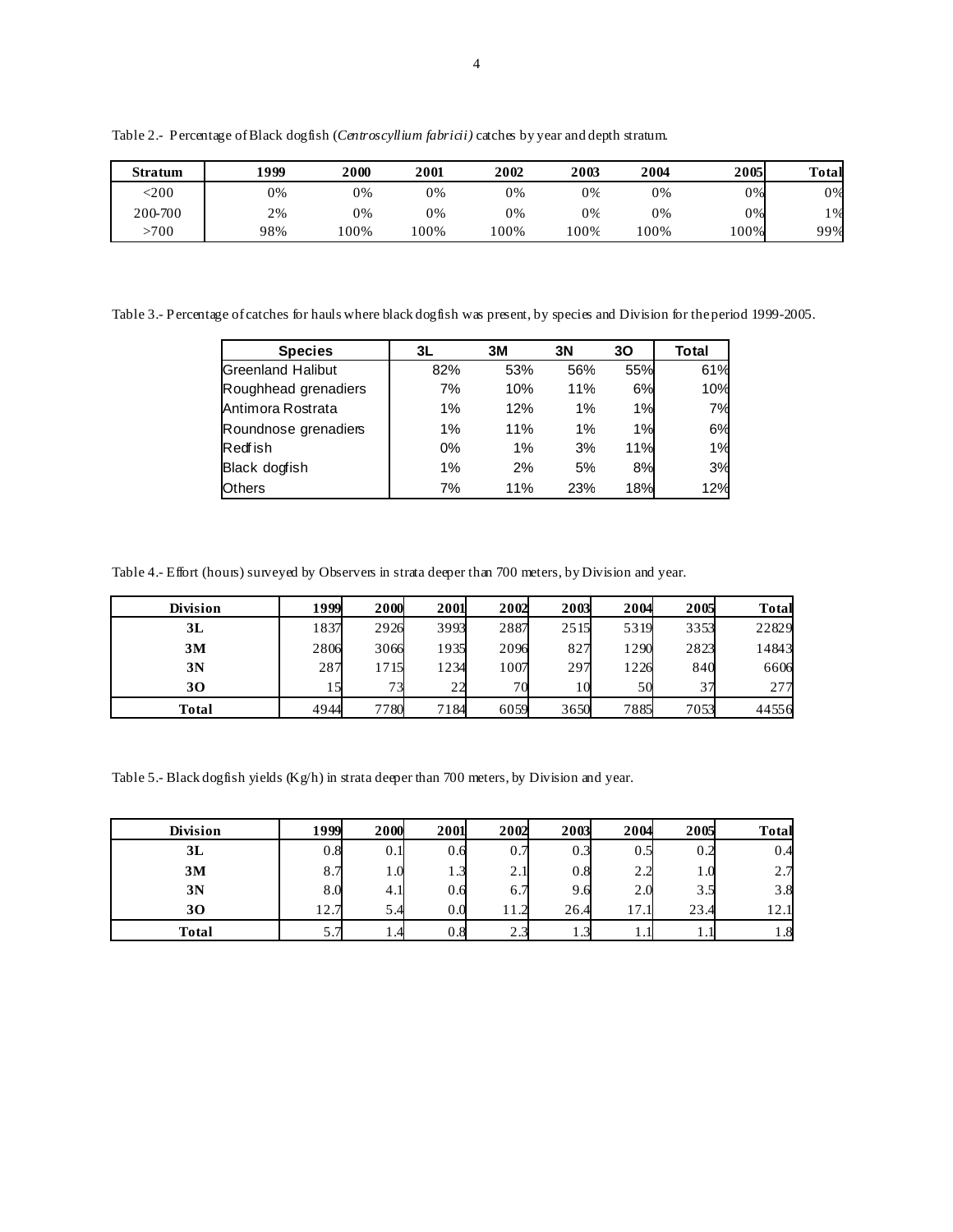**Stratum 1999 2000 2001 2002 2003 2004 2005 Total**  $\langle 200$   $\vert$  0% 0% 0% 0% 0% 0% 0% 0% 0% 200-700 2% 0% 0% 0% 0% 0% 0% 1% >700 98% 100% 100% 100% 100% 100% 100% 99%

Table 2.- Percentage of Black dogfish (*Centroscyllium fabricii)* catches by year and depth stratum.

Table 3.- Percentage of catches for hauls where black dogfish was present, by species and Division for the period 1999-2005.

| <b>Species</b>           | 3L  | 3M  | 3N  | 30  | Total |
|--------------------------|-----|-----|-----|-----|-------|
| <b>Greenland Halibut</b> | 82% | 53% | 56% | 55% | 61%   |
| Roughhead grenadiers     | 7%  | 10% | 11% | 6%  | 10%   |
| Antimora Rostrata        | 1%  | 12% | 1%  | 1%  | 7%    |
| Roundnose grenadiers     | 1%  | 11% | 1%  | 1%  | 6%    |
| <b>Redfish</b>           | 0%  | 1%  | 3%  | 11% | 1%    |
| Black dogfish            | 1%  | 2%  | 5%  | 8%  | 3%    |
| Others                   | 7%  | 11% | 23% | 18% | 12%   |

Table 4.- Effort (hours) surveyed by Observers in strata deeper than 700 meters, by Division and year.

| Division | 1999 | 2000 | 2001 | 2002 | 2003 | 2004 | 2005 | <b>Total</b> |
|----------|------|------|------|------|------|------|------|--------------|
| 3L       | 1837 | 2926 | 3993 | 2887 | 2515 | 5319 | 3353 | 22829        |
| 3M       | 2806 | 3066 | 1935 | 2096 | 827  | 1290 | 2823 | 14843        |
| 3N       | 287  | 715  | 1234 | 1007 | 297  | 1226 | 840  | 6606         |
| 30       |      | 73   | 22   | 70   |      | 50   |      | 277          |
| Total    | 4944 | 7780 | 7184 | 6059 | 3650 | 7885 | 7053 | 44556        |

Table 5.- Black dogfish yields (Kg/h) in strata deeper than 700 meters, by Division and year.

| <b>Division</b> | 1999 | 2000           | 2001                   | 2002            | 2003           | 2004    | 2005 | <b>Total</b> |
|-----------------|------|----------------|------------------------|-----------------|----------------|---------|------|--------------|
| 3L              | 0.8  | 0.1            | 0.6                    | v. 1            | 0.3            | $0.5\,$ |      | 0.4          |
| 3M              | 8.7  | $\mathbf{0}$ . | $\overline{a}$<br>ر. 1 | ◠<br>2.I        | 0.8            | 2.2     |      | 2.7          |
| 3N              | 8.0  | 4.             | 0.6                    | 6.7             | 9.6            | 2.0     | 3.5  | 3.8          |
| 30              | 12.7 | 5.4            | 0.0                    |                 | 26.4           | 17.1    | 23.4 | 12.1         |
| Total           | 5.1  |                | 0.8                    | $\sim$<br>ل د ک | $\sim$<br>ر. 1 |         |      | $1.8\,$      |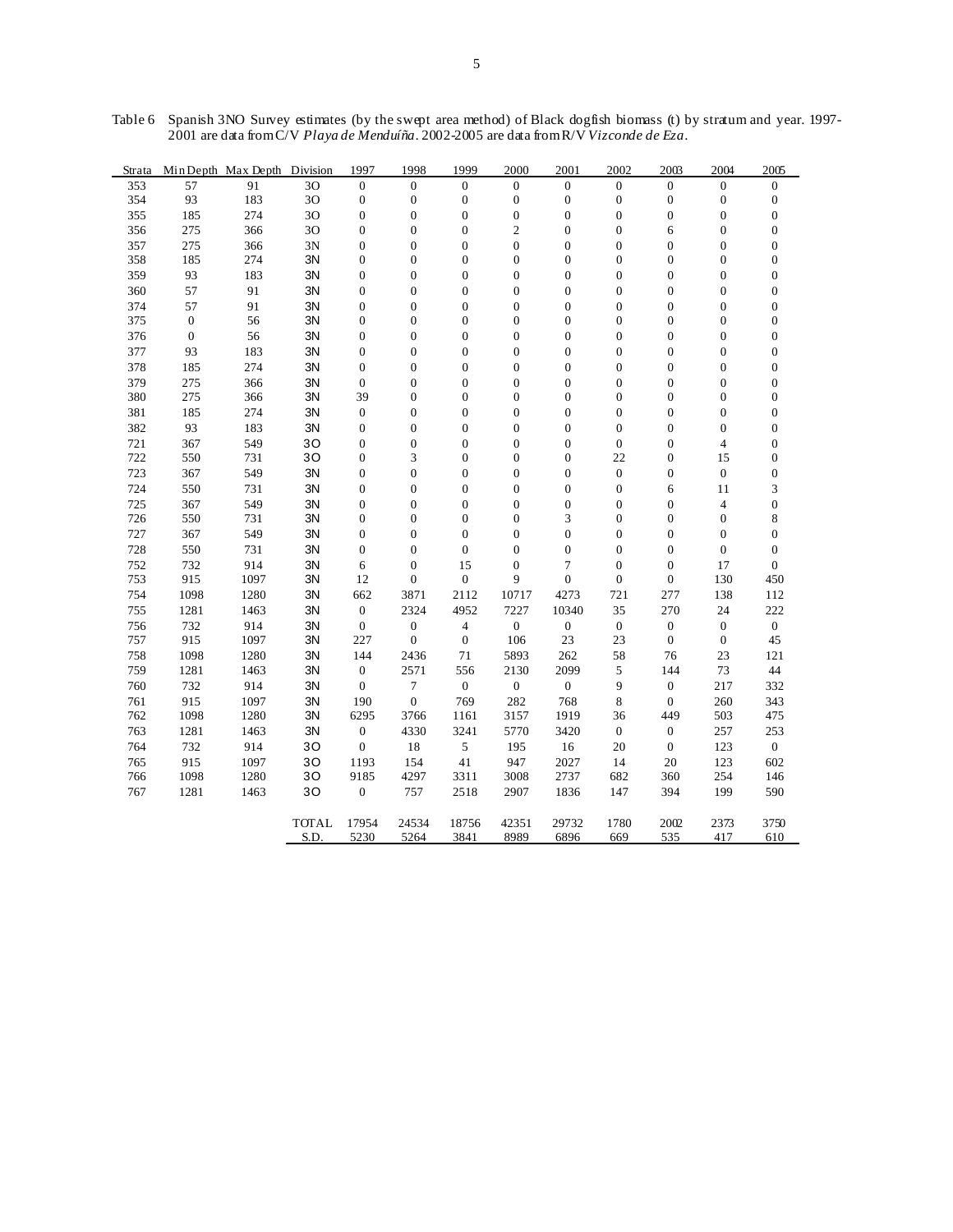| Strata |                  | Min Depth Max Depth Division |              | 1997             | 1998             | 1999                    | 2000             | 2001             | 2002             | 2003             | 2004             | 2005             |
|--------|------------------|------------------------------|--------------|------------------|------------------|-------------------------|------------------|------------------|------------------|------------------|------------------|------------------|
| 353    | 57               | 91                           | 30           | $\overline{0}$   | $\mathbf{0}$     | $\Omega$                | $\Omega$         | $\Omega$         | $\Omega$         | $\overline{0}$   | $\Omega$         | $\Omega$         |
| 354    | 93               | 183                          | 30           | $\boldsymbol{0}$ | $\boldsymbol{0}$ | $\boldsymbol{0}$        | $\boldsymbol{0}$ | $\boldsymbol{0}$ | $\boldsymbol{0}$ | $\boldsymbol{0}$ | $\boldsymbol{0}$ | $\mathbf{0}$     |
| 355    | 185              | 274                          | 30           | $\mathbf{0}$     | $\boldsymbol{0}$ | $\boldsymbol{0}$        | $\boldsymbol{0}$ | $\mathbf{0}$     | $\mathbf{0}$     | 0                | $\overline{0}$   | $\boldsymbol{0}$ |
| 356    | 275              | 366                          | 30           | $\boldsymbol{0}$ | $\boldsymbol{0}$ | $\boldsymbol{0}$        | $\overline{c}$   | $\overline{0}$   | $\boldsymbol{0}$ | 6                | $\boldsymbol{0}$ | $\boldsymbol{0}$ |
| 357    | 275              | 366                          | 3N           | $\mathbf{0}$     | $\overline{0}$   | $\mathbf{0}$            | $\mathbf{0}$     | $\mathbf{0}$     | $\Omega$         | $\overline{0}$   | $\mathbf{0}$     | $\mathbf{0}$     |
| 358    | 185              | 274                          | 3N           | $\boldsymbol{0}$ | $\boldsymbol{0}$ | $\boldsymbol{0}$        | $\boldsymbol{0}$ | $\boldsymbol{0}$ | $\mathbf{0}$     | $\boldsymbol{0}$ | $\boldsymbol{0}$ | $\boldsymbol{0}$ |
| 359    | 93               | 183                          | 3N           | $\mathbf{0}$     | $\boldsymbol{0}$ | $\boldsymbol{0}$        | $\boldsymbol{0}$ | $\mathbf{0}$     | $\mathbf{0}$     | $\boldsymbol{0}$ | $\boldsymbol{0}$ | $\boldsymbol{0}$ |
| 360    | 57               | 91                           | 3N           | $\mathbf{0}$     | $\boldsymbol{0}$ | $\mathbf{0}$            | $\overline{0}$   | $\mathbf{0}$     | $\mathbf{0}$     | $\boldsymbol{0}$ | $\boldsymbol{0}$ | $\mathbf{0}$     |
| 374    | 57               | 91                           | 3N           | $\overline{0}$   | $\boldsymbol{0}$ | $\boldsymbol{0}$        | $\mathbf{0}$     | $\mathbf{0}$     | $\mathbf{0}$     | $\boldsymbol{0}$ | $\mathbf{0}$     | $\mathbf{0}$     |
| 375    | $\boldsymbol{0}$ | 56                           | 3N           | $\boldsymbol{0}$ | $\boldsymbol{0}$ | $\boldsymbol{0}$        | $\boldsymbol{0}$ | $\boldsymbol{0}$ | $\mathbf{0}$     | $\boldsymbol{0}$ | $\boldsymbol{0}$ | $\boldsymbol{0}$ |
| 376    | $\boldsymbol{0}$ | 56                           | 3N           | $\mathbf{0}$     | $\mathbf{0}$     | $\mathbf{0}$            | $\mathbf{0}$     | $\mathbf{0}$     | $\mathbf{0}$     | $\overline{0}$   | $\mathbf{0}$     | $\mathbf{0}$     |
| 377    | 93               | 183                          | 3N           | $\boldsymbol{0}$ | $\boldsymbol{0}$ | $\boldsymbol{0}$        | $\boldsymbol{0}$ | $\boldsymbol{0}$ | $\mathbf{0}$     | $\boldsymbol{0}$ | $\boldsymbol{0}$ | $\boldsymbol{0}$ |
| 378    | 185              | 274                          | 3N           | $\mathbf{0}$     | $\boldsymbol{0}$ | $\boldsymbol{0}$        | $\boldsymbol{0}$ | $\mathbf{0}$     | $\mathbf{0}$     | $\boldsymbol{0}$ | $\boldsymbol{0}$ | $\boldsymbol{0}$ |
| 379    | 275              | 366                          | 3N           | $\mathbf{0}$     | $\boldsymbol{0}$ | $\boldsymbol{0}$        | $\overline{0}$   | $\mathbf{0}$     | $\mathbf{0}$     | $\boldsymbol{0}$ | $\boldsymbol{0}$ | $\mathbf{0}$     |
| 380    | 275              | 366                          | 3N           | 39               | $\boldsymbol{0}$ | $\mathbf{0}$            | $\boldsymbol{0}$ | $\mathbf{0}$     | $\mathbf{0}$     | $\boldsymbol{0}$ | $\boldsymbol{0}$ | $\boldsymbol{0}$ |
| 381    | 185              | 274                          | 3N           | $\boldsymbol{0}$ | $\boldsymbol{0}$ | $\boldsymbol{0}$        | $\boldsymbol{0}$ | $\boldsymbol{0}$ | $\mathbf{0}$     | $\boldsymbol{0}$ | $\boldsymbol{0}$ | $\boldsymbol{0}$ |
| 382    | 93               | 183                          | 3N           | $\mathbf{0}$     | $\overline{0}$   | $\mathbf{0}$            | $\mathbf{0}$     | $\mathbf{0}$     | $\mathbf{0}$     | $\overline{0}$   | $\mathbf{0}$     | $\mathbf{0}$     |
| 721    | 367              | 549                          | 30           | $\boldsymbol{0}$ | $\boldsymbol{0}$ | $\boldsymbol{0}$        | $\boldsymbol{0}$ | $\boldsymbol{0}$ | $\boldsymbol{0}$ | $\boldsymbol{0}$ | $\overline{4}$   | $\boldsymbol{0}$ |
| 722    | 550              | 731                          | 30           | $\mathbf{0}$     | 3                | $\boldsymbol{0}$        | $\boldsymbol{0}$ | $\mathbf{0}$     | 22               | $\overline{0}$   | 15               | $\boldsymbol{0}$ |
| 723    | 367              | 549                          | 3N           | $\boldsymbol{0}$ | $\boldsymbol{0}$ | $\boldsymbol{0}$        | $\boldsymbol{0}$ | $\boldsymbol{0}$ | $\mathbf{0}$     | $\boldsymbol{0}$ | $\boldsymbol{0}$ | $\boldsymbol{0}$ |
| 724    | 550              | 731                          | 3N           | $\mathbf{0}$     | $\boldsymbol{0}$ | $\mathbf{0}$            | $\boldsymbol{0}$ | $\boldsymbol{0}$ | $\mathbf{0}$     | 6                | 11               | 3                |
| 725    | 367              | 549                          | 3N           | $\boldsymbol{0}$ | $\boldsymbol{0}$ | $\boldsymbol{0}$        | $\boldsymbol{0}$ | $\boldsymbol{0}$ | $\mathbf{0}$     | $\boldsymbol{0}$ | $\overline{4}$   | $\boldsymbol{0}$ |
| 726    | 550              | 731                          | 3N           | $\mathbf{0}$     | $\mathbf{0}$     | $\boldsymbol{0}$        | $\boldsymbol{0}$ | 3                | $\mathbf{0}$     | $\boldsymbol{0}$ | $\boldsymbol{0}$ | 8                |
| 727    | 367              | 549                          | 3N           | $\boldsymbol{0}$ | $\boldsymbol{0}$ | $\boldsymbol{0}$        | $\boldsymbol{0}$ | $\boldsymbol{0}$ | $\boldsymbol{0}$ | $\boldsymbol{0}$ | $\boldsymbol{0}$ | $\boldsymbol{0}$ |
| 728    | 550              | 731                          | 3N           | $\mathbf{0}$     | $\mathbf{0}$     | $\boldsymbol{0}$        | $\mathbf{0}$     | $\mathbf{0}$     | $\mathbf{0}$     | $\overline{0}$   | $\boldsymbol{0}$ | $\mathbf{0}$     |
| 752    | 732              | 914                          | 3N           | 6                | $\boldsymbol{0}$ | 15                      | $\boldsymbol{0}$ | $\overline{7}$   | $\mathbf{0}$     | $\boldsymbol{0}$ | 17               | $\mathbf{0}$     |
| 753    | 915              | 1097                         | 3N           | 12               | $\boldsymbol{0}$ | $\mathbf{0}$            | 9                | $\mathbf{0}$     | $\mathbf{0}$     | 0                | 130              | 450              |
| 754    | 1098             | 1280                         | 3N           | 662              | 3871             | 2112                    | 10717            | 4273             | 721              | 277              | 138              | 112              |
| 755    | 1281             | 1463                         | 3N           | $\boldsymbol{0}$ | 2324             | 4952                    | 7227             | 10340            | 35               | 270              | 24               | 222              |
| 756    | 732              | 914                          | 3N           | $\overline{0}$   | $\boldsymbol{0}$ | $\overline{\mathbf{4}}$ | $\mathbf{0}$     | $\mathbf{0}$     | $\mathbf{0}$     | $\boldsymbol{0}$ | $\boldsymbol{0}$ | $\mathbf{0}$     |
| 757    | 915              | 1097                         | 3N           | 227              | $\boldsymbol{0}$ | $\boldsymbol{0}$        | 106              | 23               | 23               | $\boldsymbol{0}$ | $\boldsymbol{0}$ | 45               |
| 758    | 1098             | 1280                         | 3N           | 144              | 2436             | 71                      | 5893             | 262              | 58               | 76               | 23               | 121              |
| 759    | 1281             | 1463                         | 3N           | $\mathbf{0}$     | 2571             | 556                     | 2130             | 2099             | 5                | 144              | 73               | 44               |
| 760    | 732              | 914                          | 3N           | $\mathbf{0}$     | $\overline{7}$   | $\boldsymbol{0}$        | $\boldsymbol{0}$ | $\boldsymbol{0}$ | 9                | $\boldsymbol{0}$ | 217              | 332              |
| 761    | 915              | 1097                         | 3N           | 190              | $\boldsymbol{0}$ | 769                     | 282              | 768              | 8                | $\boldsymbol{0}$ | 260              | 343              |
| 762    | 1098             | 1280                         | 3N           | 6295             | 3766             | 1161                    | 3157             | 1919             | 36               | 449              | 503              | 475              |
| 763    | 1281             | 1463                         | 3N           | $\boldsymbol{0}$ | 4330             | 3241                    | 5770             | 3420             | $\mathbf{0}$     | $\boldsymbol{0}$ | 257              | 253              |
| 764    | 732              | 914                          | 30           | $\mathbf{0}$     | 18               | $\sqrt{5}$              | 195              | 16               | 20               | $\boldsymbol{0}$ | 123              | $\boldsymbol{0}$ |
| 765    | 915              | 1097                         | 30           | 1193             | 154              | 41                      | 947              | 2027             | 14               | 20               | 123              | 602              |
| 766    | 1098             | 1280                         | 30           | 9185             | 4297             | 3311                    | 3008             | 2737             | 682              | 360              | 254              | 146              |
| 767    | 1281             | 1463                         | 30           | $\mathbf{0}$     | 757              | 2518                    | 2907             | 1836             | 147              | 394              | 199              | 590              |
|        |                  |                              |              |                  |                  |                         |                  |                  |                  |                  |                  |                  |
|        |                  |                              | <b>TOTAL</b> | 17954            | 24534            | 18756                   | 42351            | 29732            | 1780             | 2002             | 2373             | 3750             |
|        |                  |                              | S.D.         | 5230             | 5264             | 3841                    | 8989             | 6896             | 669              | 535              | 417              | 610              |

Table 6 Spanish 3NO Survey estimates (by the swept area method) of Black dogfish biomass (t) by stratum and year. 1997- 2001 are data from C/V *Playa de Menduíña*. 2002-2005 are data from R/V *Vizconde de Eza*.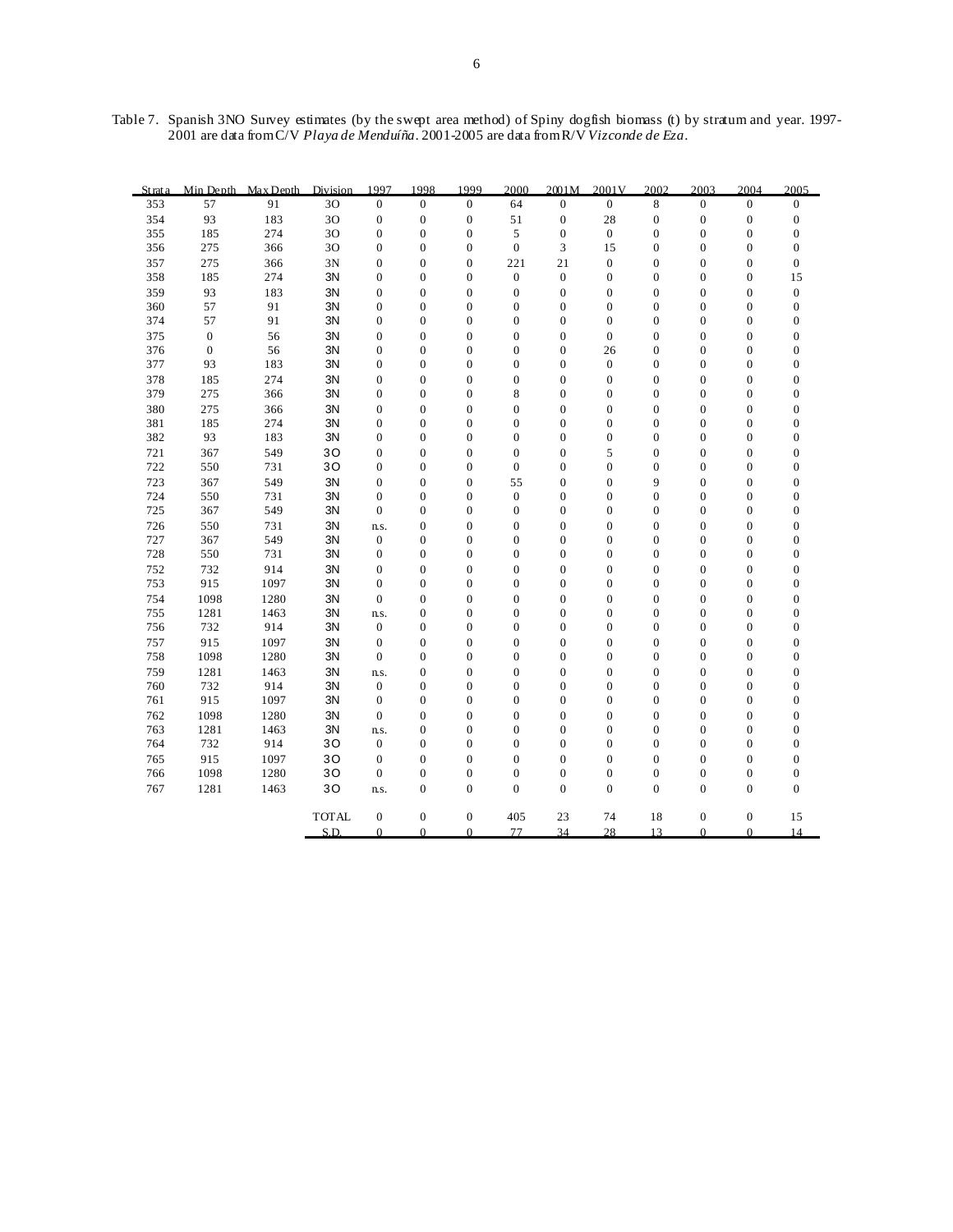Table 7. Spanish 3NO Survey estimates (by the swept area method) of Spiny dogfish biomass (t) by stratum and year. 1997- 2001 are data from C/V *Playa de Menduíña*. 2001-2005 are data from R/V *Vizconde de Eza*.

| St rat a | Min Depth        | Max Depth | Division     | 1997             | 1998             | 1999             | 2000             | 2001M            | 2001V            | 2002             | 2003             | 2004             | 2005             |
|----------|------------------|-----------|--------------|------------------|------------------|------------------|------------------|------------------|------------------|------------------|------------------|------------------|------------------|
| 353      | 57               | 91        | 30           | $\overline{0}$   | $\mathbf{0}$     | $\mathbf{0}$     | 64               | $\mathbf{0}$     | $\mathbf{0}$     | 8                | $\overline{0}$   | $\overline{0}$   | $\mathbf{0}$     |
| 354      | 93               | 183       | 30           | $\boldsymbol{0}$ | $\boldsymbol{0}$ | $\boldsymbol{0}$ | 51               | $\boldsymbol{0}$ | 28               | $\boldsymbol{0}$ | $\boldsymbol{0}$ | $\boldsymbol{0}$ | $\boldsymbol{0}$ |
| 355      | 185              | 274       | 30           | $\boldsymbol{0}$ | $\overline{0}$   | $\boldsymbol{0}$ | 5                | $\boldsymbol{0}$ | $\boldsymbol{0}$ | $\boldsymbol{0}$ | $\boldsymbol{0}$ | $\mathbf{0}$     | $\boldsymbol{0}$ |
| 356      | 275              | 366       | 30           | $\boldsymbol{0}$ | $\mathbf{0}$     | $\boldsymbol{0}$ | $\boldsymbol{0}$ | 3                | 15               | $\boldsymbol{0}$ | $\boldsymbol{0}$ | $\boldsymbol{0}$ | $\boldsymbol{0}$ |
| 357      | 275              | 366       | 3N           | $\mathbf{0}$     | $\overline{0}$   | $\mathbf{0}$     | 221              | 21               | $\boldsymbol{0}$ | $\mathbf{0}$     | $\mathbf{0}$     | $\mathbf{0}$     | $\boldsymbol{0}$ |
| 358      | 185              | 274       | 3N           | $\boldsymbol{0}$ | $\boldsymbol{0}$ | $\boldsymbol{0}$ | $\boldsymbol{0}$ | $\boldsymbol{0}$ | $\boldsymbol{0}$ | $\boldsymbol{0}$ | $\boldsymbol{0}$ | $\boldsymbol{0}$ | 15               |
| 359      | 93               | 183       | 3N           | $\boldsymbol{0}$ | $\overline{0}$   | $\mathbf{0}$     | $\boldsymbol{0}$ | $\mathbf{0}$     | $\boldsymbol{0}$ | $\mathbf{0}$     | $\boldsymbol{0}$ | $\mathbf{0}$     | $\boldsymbol{0}$ |
| 360      | 57               | 91        | 3N           | $\boldsymbol{0}$ | $\overline{0}$   | $\mathbf{0}$     | $\boldsymbol{0}$ | $\mathbf{0}$     | $\mathbf{0}$     | $\mathbf{0}$     | $\boldsymbol{0}$ | $\mathbf{0}$     | $\boldsymbol{0}$ |
| 374      | 57               | 91        | 3N           | $\overline{0}$   | $\overline{0}$   | $\boldsymbol{0}$ | $\overline{0}$   | $\boldsymbol{0}$ | $\boldsymbol{0}$ | $\mathbf{0}$     | $\boldsymbol{0}$ | $\mathbf{0}$     | $\boldsymbol{0}$ |
| 375      | $\boldsymbol{0}$ | 56        | 3N           | $\boldsymbol{0}$ | $\mathbf{0}$     | $\boldsymbol{0}$ | $\boldsymbol{0}$ | $\boldsymbol{0}$ | $\boldsymbol{0}$ | $\boldsymbol{0}$ | $\boldsymbol{0}$ | $\boldsymbol{0}$ | $\boldsymbol{0}$ |
| 376      | $\boldsymbol{0}$ | 56        | 3N           | $\mathbf{0}$     | $\overline{0}$   | $\mathbf{0}$     | $\overline{0}$   | $\mathbf{0}$     | 26               | $\mathbf{0}$     | $\mathbf{0}$     | $\mathbf{0}$     | $\mathbf{0}$     |
| 377      | 93               | 183       | 3N           | $\boldsymbol{0}$ | $\mathbf{0}$     | $\boldsymbol{0}$ | $\boldsymbol{0}$ | $\boldsymbol{0}$ | $\boldsymbol{0}$ | $\boldsymbol{0}$ | $\boldsymbol{0}$ | $\boldsymbol{0}$ | $\boldsymbol{0}$ |
| 378      | 185              | 274       | 3N           | $\boldsymbol{0}$ | $\overline{0}$   | $\boldsymbol{0}$ | $\boldsymbol{0}$ | $\boldsymbol{0}$ | $\boldsymbol{0}$ | $\mathbf{0}$     | $\boldsymbol{0}$ | $\mathbf{0}$     | $\boldsymbol{0}$ |
| 379      | 275              | 366       | ЗN           | 0                | $\overline{0}$   | $\boldsymbol{0}$ | 8                | $\boldsymbol{0}$ | $\mathbf{0}$     | $\mathbf{0}$     | $\boldsymbol{0}$ | $\mathbf{0}$     | $\boldsymbol{0}$ |
| 380      | 275              | 366       | 3N           | $\overline{0}$   | $\overline{0}$   | $\boldsymbol{0}$ | $\overline{0}$   | $\boldsymbol{0}$ | $\boldsymbol{0}$ | $\mathbf{0}$     | $\boldsymbol{0}$ | $\mathbf{0}$     | $\boldsymbol{0}$ |
| 381      | 185              | 274       | 3N           | $\boldsymbol{0}$ | $\mathbf{0}$     | $\boldsymbol{0}$ | $\boldsymbol{0}$ | $\boldsymbol{0}$ | $\boldsymbol{0}$ | $\boldsymbol{0}$ | $\boldsymbol{0}$ | $\boldsymbol{0}$ | $\boldsymbol{0}$ |
| 382      | 93               | 183       | 3N           | $\mathbf{0}$     | $\overline{0}$   | $\mathbf{0}$     | $\overline{0}$   | $\boldsymbol{0}$ | $\mathbf{0}$     | $\mathbf{0}$     | $\boldsymbol{0}$ | $\mathbf{0}$     | $\boldsymbol{0}$ |
| 721      | 367              | 549       | 30           | $\boldsymbol{0}$ | $\mathbf{0}$     | $\boldsymbol{0}$ | $\boldsymbol{0}$ | $\boldsymbol{0}$ | 5                | $\boldsymbol{0}$ | $\boldsymbol{0}$ | $\boldsymbol{0}$ | $\boldsymbol{0}$ |
| 722      | 550              | 731       | 30           | $\boldsymbol{0}$ | $\overline{0}$   | $\boldsymbol{0}$ | $\overline{0}$   | $\boldsymbol{0}$ | $\boldsymbol{0}$ | $\mathbf{0}$     | $\boldsymbol{0}$ | $\mathbf{0}$     | $\boldsymbol{0}$ |
| 723      | 367              | 549       | 3N           | $\boldsymbol{0}$ | $\overline{0}$   | $\boldsymbol{0}$ | 55               | $\boldsymbol{0}$ | $\boldsymbol{0}$ | 9                | $\boldsymbol{0}$ | $\mathbf{0}$     | $\boldsymbol{0}$ |
| 724      | 550              | 731       | 3N           | $\overline{0}$   | $\overline{0}$   | $\boldsymbol{0}$ | $\boldsymbol{0}$ | $\boldsymbol{0}$ | $\boldsymbol{0}$ | $\mathbf{0}$     | $\boldsymbol{0}$ | $\mathbf{0}$     | $\boldsymbol{0}$ |
| 725      | 367              | 549       | 3N           | $\boldsymbol{0}$ | $\mathbf{0}$     | $\boldsymbol{0}$ | $\boldsymbol{0}$ | $\boldsymbol{0}$ | $\boldsymbol{0}$ | $\boldsymbol{0}$ | $\boldsymbol{0}$ | $\boldsymbol{0}$ | $\boldsymbol{0}$ |
| 726      | 550              | 731       | 3N           | n.s.             | $\overline{0}$   | $\mathbf{0}$     | $\overline{0}$   | $\mathbf{0}$     | $\mathbf{0}$     | $\mathbf{0}$     | $\boldsymbol{0}$ | $\mathbf{0}$     | $\boldsymbol{0}$ |
| 727      | 367              | 549       | 3N           | $\boldsymbol{0}$ | $\mathbf{0}$     | $\boldsymbol{0}$ | $\boldsymbol{0}$ | $\boldsymbol{0}$ | $\boldsymbol{0}$ | $\boldsymbol{0}$ | $\boldsymbol{0}$ | $\boldsymbol{0}$ | $\boldsymbol{0}$ |
| 728      | 550              | 731       | 3N           | $\overline{0}$   | $\overline{0}$   | $\mathbf{0}$     | $\overline{0}$   | $\mathbf{0}$     | $\overline{0}$   | $\mathbf{0}$     | $\boldsymbol{0}$ | $\mathbf{0}$     | $\boldsymbol{0}$ |
| 752      | 732              | 914       | 3N           | 0                | $\mathbf{0}$     | $\boldsymbol{0}$ | $\boldsymbol{0}$ | $\boldsymbol{0}$ | $\boldsymbol{0}$ | $\boldsymbol{0}$ | $\boldsymbol{0}$ | $\boldsymbol{0}$ | $\boldsymbol{0}$ |
| 753      | 915              | 1097      | 3N           | $\overline{0}$   | $\overline{0}$   | $\overline{0}$   | $\overline{0}$   | $\mathbf{0}$     | $\overline{0}$   | $\mathbf{0}$     | $\boldsymbol{0}$ | $\mathbf{0}$     | $\boldsymbol{0}$ |
| 754      | 1098             | 1280      | 3N           | $\boldsymbol{0}$ | $\mathbf{0}$     | $\boldsymbol{0}$ | $\boldsymbol{0}$ | $\boldsymbol{0}$ | $\boldsymbol{0}$ | $\boldsymbol{0}$ | $\boldsymbol{0}$ | $\boldsymbol{0}$ | $\boldsymbol{0}$ |
| 755      | 1281             | 1463      | 3N           | n.s.             | $\overline{0}$   | $\boldsymbol{0}$ | $\boldsymbol{0}$ | $\boldsymbol{0}$ | $\boldsymbol{0}$ | $\mathbf{0}$     | $\boldsymbol{0}$ | $\mathbf{0}$     | $\boldsymbol{0}$ |
| 756      | 732              | 914       | 3N           | $\boldsymbol{0}$ | $\mathbf{0}$     | $\boldsymbol{0}$ | $\boldsymbol{0}$ | $\boldsymbol{0}$ | $\boldsymbol{0}$ | $\boldsymbol{0}$ | $\boldsymbol{0}$ | $\boldsymbol{0}$ | $\boldsymbol{0}$ |
| 757      | 915              | 1097      | 3N           | $\overline{0}$   | $\overline{0}$   | $\mathbf{0}$     | $\overline{0}$   | $\mathbf{0}$     | $\mathbf{0}$     | $\mathbf{0}$     | $\boldsymbol{0}$ | $\mathbf{0}$     | $\boldsymbol{0}$ |
| 758      | 1098             | 1280      | 3N           | $\boldsymbol{0}$ | $\mathbf{0}$     | $\boldsymbol{0}$ | $\boldsymbol{0}$ | $\boldsymbol{0}$ | $\boldsymbol{0}$ | $\boldsymbol{0}$ | $\boldsymbol{0}$ | $\boldsymbol{0}$ | $\boldsymbol{0}$ |
| 759      | 1281             | 1463      | 3N           | ns.              | $\overline{0}$   | $\overline{0}$   | $\overline{0}$   | $\boldsymbol{0}$ | $\boldsymbol{0}$ | $\mathbf{0}$     | $\boldsymbol{0}$ | $\mathbf{0}$     | $\boldsymbol{0}$ |
| 760      | 732              | 914       | 3N           | $\boldsymbol{0}$ | $\mathbf{0}$     | $\boldsymbol{0}$ | $\boldsymbol{0}$ | $\boldsymbol{0}$ | $\boldsymbol{0}$ | $\boldsymbol{0}$ | $\boldsymbol{0}$ | $\boldsymbol{0}$ | $\boldsymbol{0}$ |
| 761      | 915              | 1097      | 3N           | $\overline{0}$   | $\overline{0}$   | $\boldsymbol{0}$ | $\overline{0}$   | $\boldsymbol{0}$ | $\boldsymbol{0}$ | $\mathbf{0}$     | $\boldsymbol{0}$ | $\mathbf{0}$     | $\boldsymbol{0}$ |
| 762      | 1098             | 1280      | 3N           | $\boldsymbol{0}$ | $\mathbf{0}$     | $\boldsymbol{0}$ | $\boldsymbol{0}$ | $\boldsymbol{0}$ | $\boldsymbol{0}$ | $\boldsymbol{0}$ | $\boldsymbol{0}$ | $\boldsymbol{0}$ | $\boldsymbol{0}$ |
| 763      | 1281             | 1463      | 3N           | n.s.             | $\overline{0}$   | $\mathbf{0}$     | $\overline{0}$   | $\mathbf{0}$     | $\mathbf{0}$     | $\mathbf{0}$     | $\mathbf{0}$     | $\theta$         | $\mathbf{0}$     |
| 764      | 732              | 914       | 30           | $\boldsymbol{0}$ | $\mathbf{0}$     | $\boldsymbol{0}$ | $\boldsymbol{0}$ | $\boldsymbol{0}$ | $\boldsymbol{0}$ | $\boldsymbol{0}$ | $\boldsymbol{0}$ | $\boldsymbol{0}$ | $\boldsymbol{0}$ |
| 765      | 915              | 1097      | 30           | $\mathbf{0}$     | $\overline{0}$   | $\boldsymbol{0}$ | $\overline{0}$   | $\mathbf{0}$     | $\boldsymbol{0}$ | $\mathbf{0}$     | $\boldsymbol{0}$ | $\mathbf{0}$     | $\boldsymbol{0}$ |
| 766      | 1098             | 1280      | 30           | $\boldsymbol{0}$ | $\mathbf{0}$     | $\boldsymbol{0}$ | $\boldsymbol{0}$ | $\boldsymbol{0}$ | $\boldsymbol{0}$ | $\boldsymbol{0}$ | $\boldsymbol{0}$ | $\boldsymbol{0}$ | $\boldsymbol{0}$ |
| 767      | 1281             | 1463      | 30           | n.s.             | $\overline{0}$   | $\overline{0}$   | $\overline{0}$   | $\overline{0}$   | $\boldsymbol{0}$ | $\mathbf{0}$     | $\mathbf{0}$     | $\mathbf{0}$     | $\boldsymbol{0}$ |
|          |                  |           | <b>TOTAL</b> | $\boldsymbol{0}$ | $\mathbf{0}$     | $\boldsymbol{0}$ | 405              | 23               | 74               | 18               | $\boldsymbol{0}$ | $\mathbf{0}$     | 15               |
|          |                  |           | S.D          | $\theta$         | $\theta$         | $\theta$         | 77               | 34               | 28               | 13               | $\Omega$         | $\Omega$         | 14               |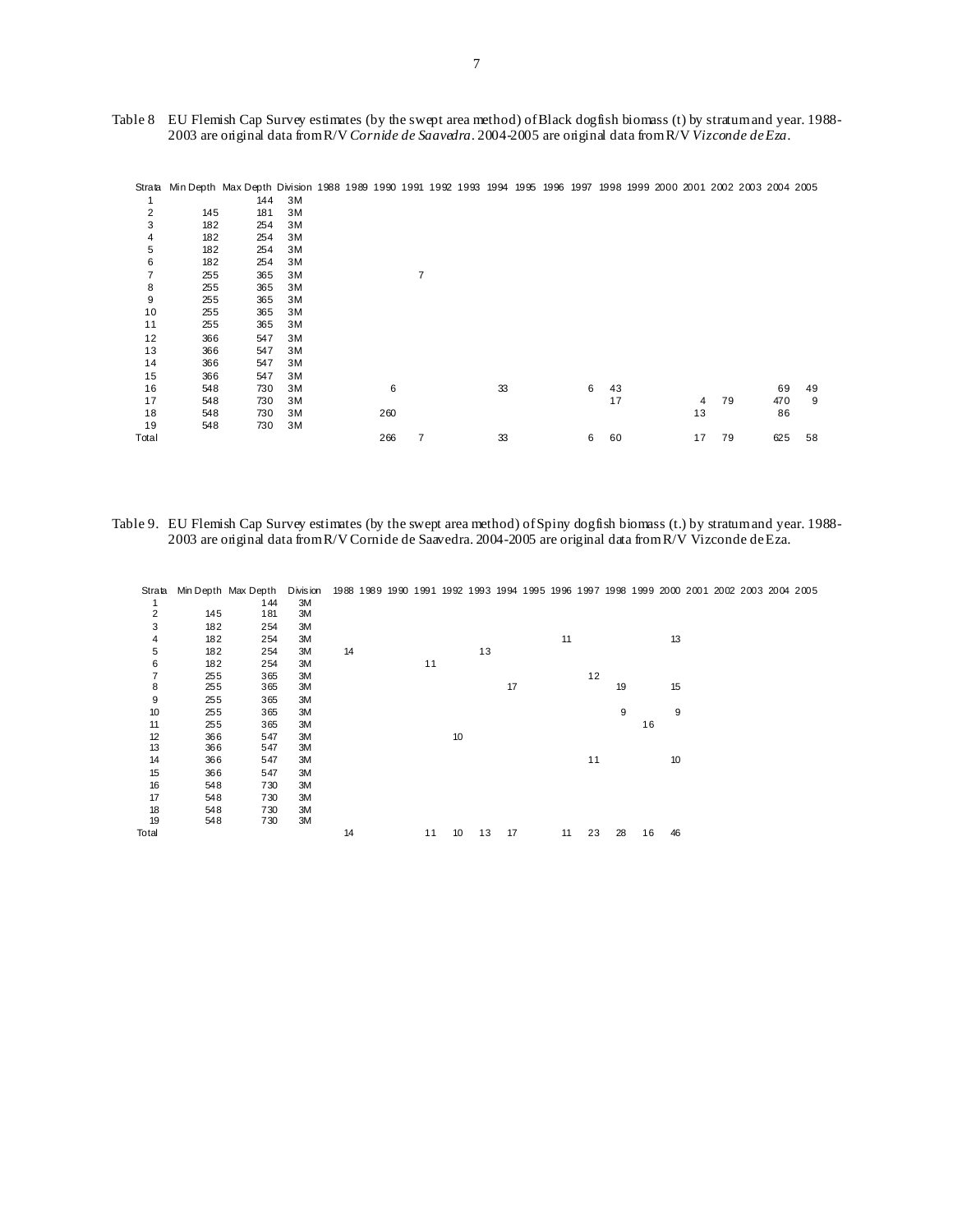| Table 8 EU Flemish Cap Survey estimates (by the swept area method) of Black dog fish biomass (t) by stratum and year. 1988- |
|-----------------------------------------------------------------------------------------------------------------------------|
| 2003 are original data from R/V Cornide de Saavedra. 2004-2005 are original data from R/V Vizconde de Eza.                  |

|       |     | Strata Min Depth Max Depth Division 1988 1989 1990 1991 1992 1993 1994 1995 1996 1997<br>144 | 3M |  |     |   |  |    |  |   |    |  |    |    | 1998 1999 2000 2001 2002 2003 2004 2005 |     |    |
|-------|-----|----------------------------------------------------------------------------------------------|----|--|-----|---|--|----|--|---|----|--|----|----|-----------------------------------------|-----|----|
| 2     | 145 | 181                                                                                          | 3M |  |     |   |  |    |  |   |    |  |    |    |                                         |     |    |
| 3     | 182 | 254                                                                                          | 3M |  |     |   |  |    |  |   |    |  |    |    |                                         |     |    |
| 4     | 182 | 254                                                                                          | 3M |  |     |   |  |    |  |   |    |  |    |    |                                         |     |    |
| 5     | 182 | 254                                                                                          | 3M |  |     |   |  |    |  |   |    |  |    |    |                                         |     |    |
| 6     | 182 | 254                                                                                          | 3M |  |     |   |  |    |  |   |    |  |    |    |                                         |     |    |
| 7     | 255 | 365                                                                                          | 3M |  |     | 7 |  |    |  |   |    |  |    |    |                                         |     |    |
| 8     | 255 | 365                                                                                          | 3M |  |     |   |  |    |  |   |    |  |    |    |                                         |     |    |
| 9     | 255 | 365                                                                                          | 3M |  |     |   |  |    |  |   |    |  |    |    |                                         |     |    |
| 10    | 255 | 365                                                                                          | 3M |  |     |   |  |    |  |   |    |  |    |    |                                         |     |    |
| 11    | 255 | 365                                                                                          | 3M |  |     |   |  |    |  |   |    |  |    |    |                                         |     |    |
| 12    | 366 | 547                                                                                          | 3M |  |     |   |  |    |  |   |    |  |    |    |                                         |     |    |
| 13    | 366 | 547                                                                                          | 3M |  |     |   |  |    |  |   |    |  |    |    |                                         |     |    |
| 14    | 366 | 547                                                                                          | 3M |  |     |   |  |    |  |   |    |  |    |    |                                         |     |    |
| 15    | 366 | 547                                                                                          | 3M |  |     |   |  |    |  |   |    |  |    |    |                                         |     |    |
| 16    | 548 | 730                                                                                          | 3M |  | 6   |   |  | 33 |  | 6 | 43 |  |    |    |                                         | 69  | 49 |
| 17    | 548 | 730                                                                                          | 3M |  |     |   |  |    |  |   | 17 |  | 4  | 79 |                                         | 470 | 9  |
| 18    | 548 | 730                                                                                          | 3M |  | 260 |   |  |    |  |   |    |  | 13 |    |                                         | 86  |    |
| 19    | 548 | 730                                                                                          | 3M |  |     |   |  |    |  |   |    |  |    |    |                                         |     |    |
| Total |     |                                                                                              |    |  | 266 |   |  | 33 |  | 6 | 60 |  | 17 | 79 |                                         | 625 | 58 |

Table 9. EU Flemish Cap Survey estimates (by the swept area method) of Spiny dogfish biomass (t.) by stratum and year. 1988- 2003 are original data from R/V Cornide de Saavedra. 2004-2005 are original data from R/V Vizconde de Eza.

| Strata         |     | Min Depth Max Depth | Divis ion | 1988 1989 1990 1991 1992 1993 1994 1995 1996 1997 1998 1999 2000 2001 200 |  |    |    |    |    |    |    |    |    |    |  |
|----------------|-----|---------------------|-----------|---------------------------------------------------------------------------|--|----|----|----|----|----|----|----|----|----|--|
| 1              |     | 144                 | 3M        |                                                                           |  |    |    |    |    |    |    |    |    |    |  |
| $\overline{2}$ | 145 | 181                 | 3M        |                                                                           |  |    |    |    |    |    |    |    |    |    |  |
| 3              | 182 | 254                 | ЗM        |                                                                           |  |    |    |    |    |    |    |    |    |    |  |
| 4              | 182 | 254                 | ЗM        |                                                                           |  |    |    |    |    | 11 |    |    |    | 13 |  |
| 5              | 182 | 254                 | 3M        | 14                                                                        |  |    |    | 13 |    |    |    |    |    |    |  |
| 6              | 182 | 254                 | 3M        |                                                                           |  | 11 |    |    |    |    |    |    |    |    |  |
| $\overline{7}$ | 255 | 365                 | 3M        |                                                                           |  |    |    |    |    |    | 12 |    |    |    |  |
| 8              | 255 | 365                 | 3M        |                                                                           |  |    |    |    | 17 |    |    | 19 |    | 15 |  |
| 9              | 255 | 365                 | ЗM        |                                                                           |  |    |    |    |    |    |    |    |    |    |  |
| 10             | 255 | 365                 | 3M        |                                                                           |  |    |    |    |    |    |    | 9  |    | 9  |  |
| 11             | 255 | 365                 | 3M        |                                                                           |  |    |    |    |    |    |    |    | 16 |    |  |
| 12             | 366 | 547                 | 3M        |                                                                           |  |    | 10 |    |    |    |    |    |    |    |  |
| 13             | 366 | 547                 | ЗM        |                                                                           |  |    |    |    |    |    |    |    |    |    |  |
| 14             | 366 | 547                 | 3M        |                                                                           |  |    |    |    |    |    | 11 |    |    | 10 |  |
| 15             | 366 | 547                 | 3M        |                                                                           |  |    |    |    |    |    |    |    |    |    |  |
| 16             | 548 | 730                 | 3M        |                                                                           |  |    |    |    |    |    |    |    |    |    |  |
| 17             | 548 | 730                 | 3M        |                                                                           |  |    |    |    |    |    |    |    |    |    |  |
| 18             | 548 | 730                 | 3M        |                                                                           |  |    |    |    |    |    |    |    |    |    |  |
| 19             | 548 | 730                 | 3M        |                                                                           |  |    |    |    |    |    |    |    |    |    |  |
| Total          |     |                     |           | 14                                                                        |  | 11 | 10 | 13 | 17 | 11 | 23 | 28 | 16 | 46 |  |

Strata Min Depth Max Depth Division 1988 1989 1990 1991 1992 1993 1994 1995 1996 1997 1998 1999 2000 2001 2002 2003 2004 2005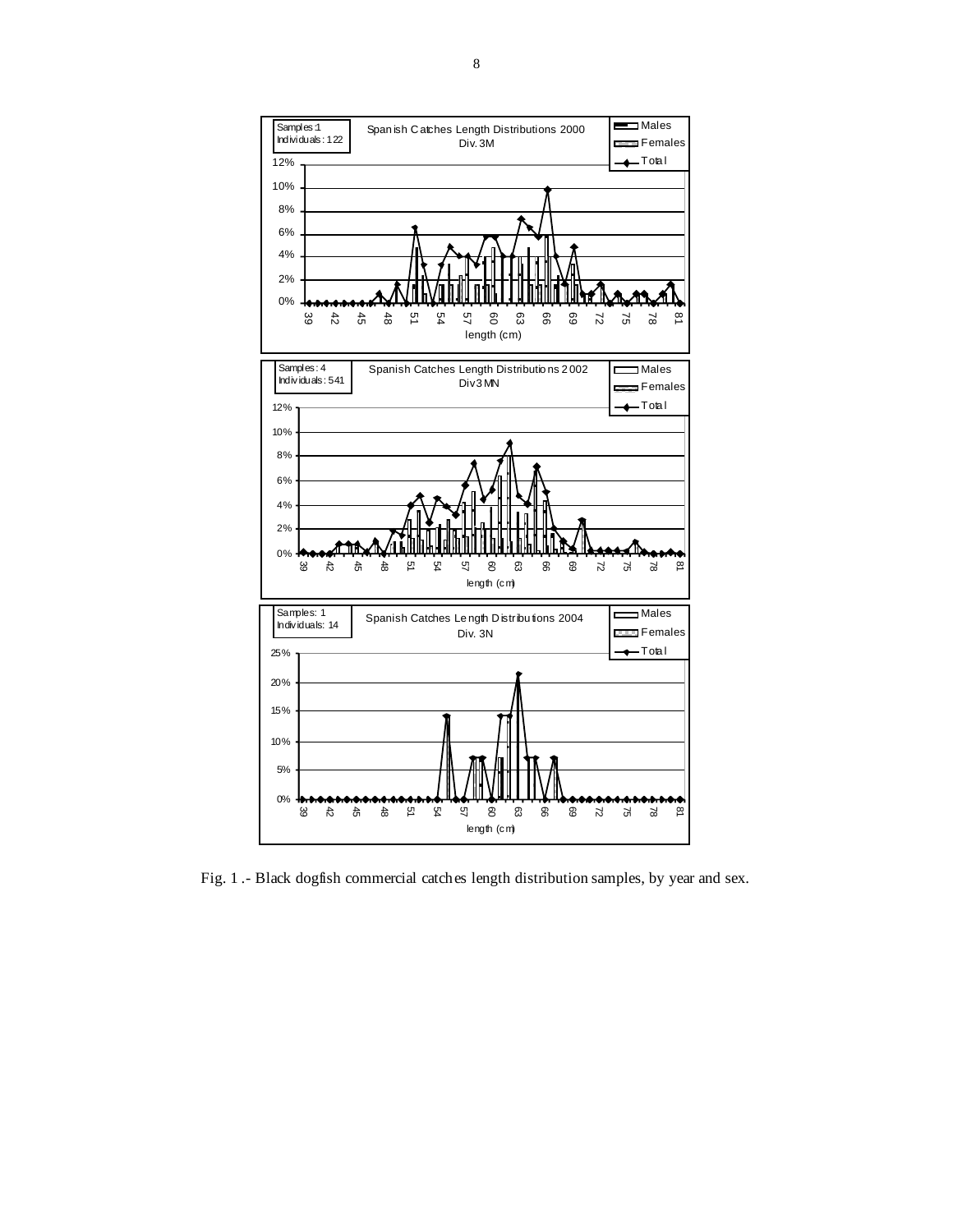

Fig. 1 .- Black dogfish commercial catches length distribution samples, by year and sex.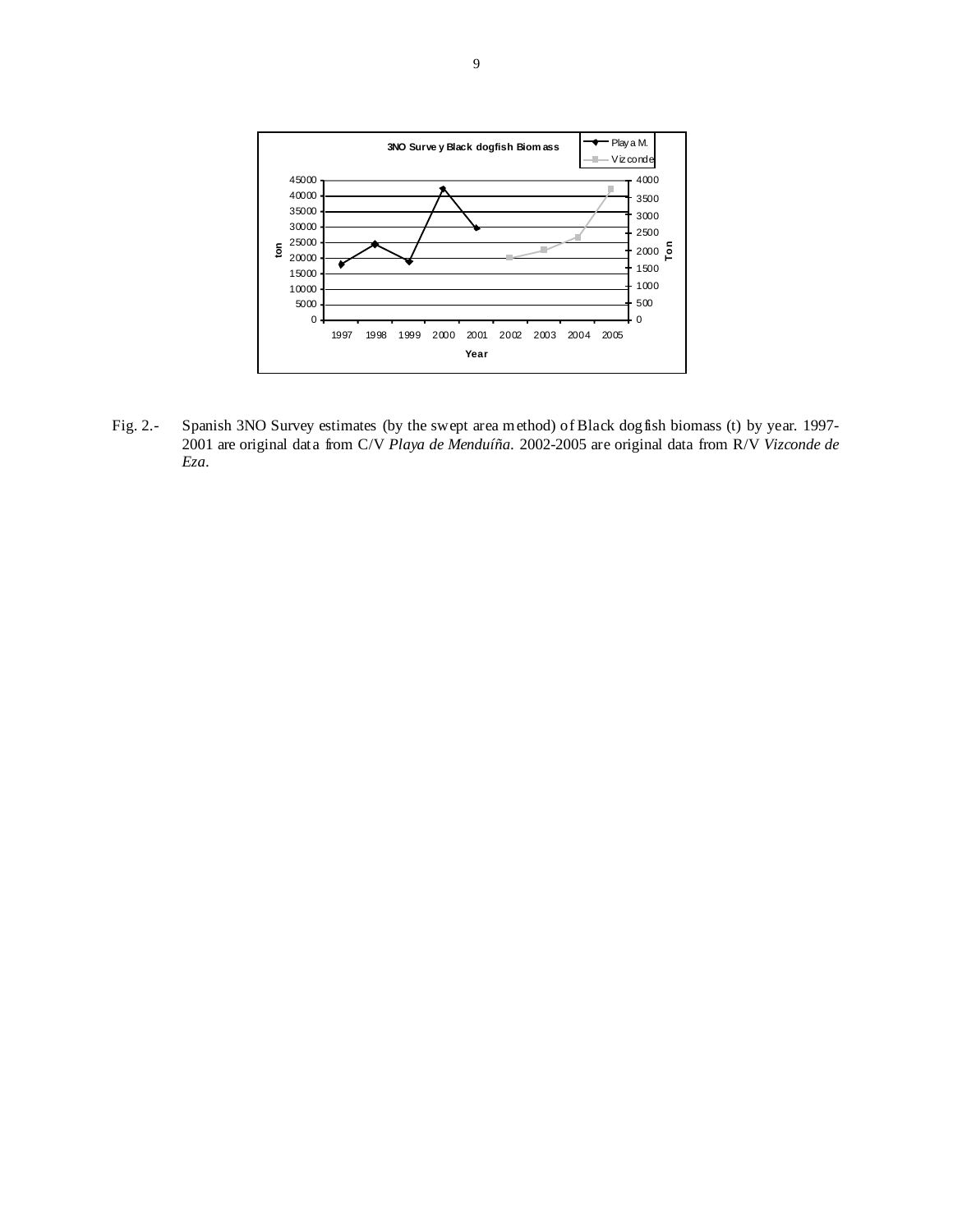

Fig. 2.- Spanish 3NO Survey estimates (by the swept area method) of Black dogfish biomass (t) by year. 1997- 2001 are original data from C/V *Playa de Menduíña*. 2002-2005 are original data from R/V *Vizconde de Eza*.